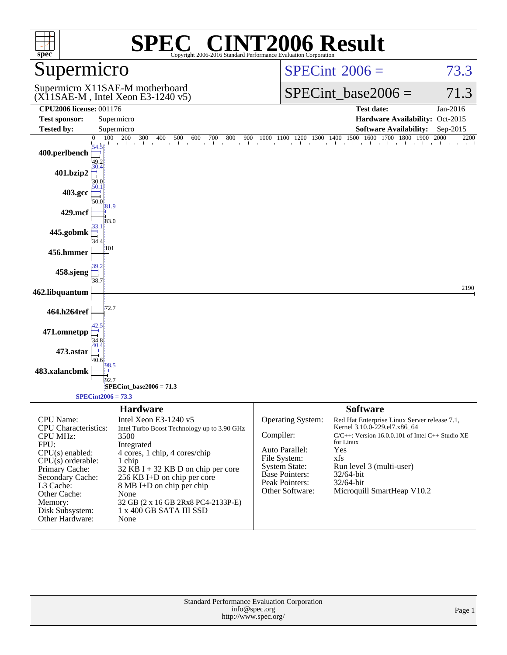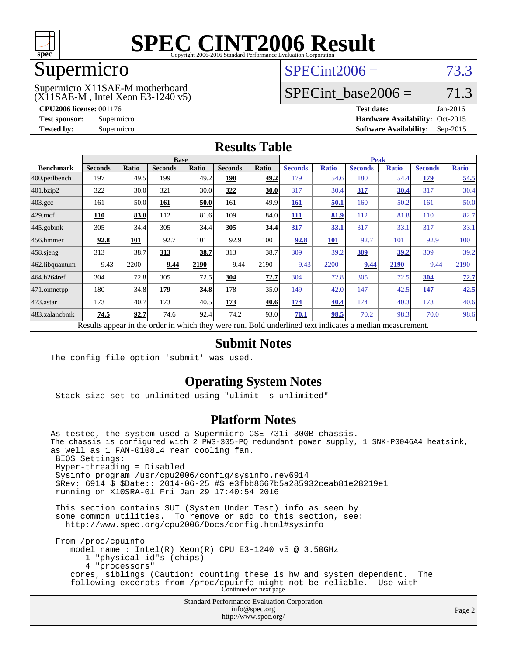

### Supermicro

## $SPECint2006 = 73.3$  $SPECint2006 = 73.3$

(X11SAE-M , Intel Xeon E3-1240 v5) Supermicro X11SAE-M motherboard

SPECint base2006 =  $71.3$ 

**[CPU2006 license:](http://www.spec.org/auto/cpu2006/Docs/result-fields.html#CPU2006license)** 001176 **[Test date:](http://www.spec.org/auto/cpu2006/Docs/result-fields.html#Testdate)** Jan-2016 **[Test sponsor:](http://www.spec.org/auto/cpu2006/Docs/result-fields.html#Testsponsor)** Supermicro Supermicro **[Hardware Availability:](http://www.spec.org/auto/cpu2006/Docs/result-fields.html#HardwareAvailability)** Oct-2015 **[Tested by:](http://www.spec.org/auto/cpu2006/Docs/result-fields.html#Testedby)** Supermicro **Supermicro [Software Availability:](http://www.spec.org/auto/cpu2006/Docs/result-fields.html#SoftwareAvailability)** Sep-2015

### **[Results Table](http://www.spec.org/auto/cpu2006/Docs/result-fields.html#ResultsTable)**

|                                                                                                          | <b>Base</b>    |       |                |       | <b>Peak</b>    |       |                |              |                |              |                |              |
|----------------------------------------------------------------------------------------------------------|----------------|-------|----------------|-------|----------------|-------|----------------|--------------|----------------|--------------|----------------|--------------|
| <b>Benchmark</b>                                                                                         | <b>Seconds</b> | Ratio | <b>Seconds</b> | Ratio | <b>Seconds</b> | Ratio | <b>Seconds</b> | <b>Ratio</b> | <b>Seconds</b> | <b>Ratio</b> | <b>Seconds</b> | <b>Ratio</b> |
| 400.perlbench                                                                                            | 197            | 49.5  | 199            | 49.2  | 198            | 49.2  | 179            | 54.6         | 180            | 54.4         | 179            | 54.5         |
| 401.bzip2                                                                                                | 322            | 30.0  | 321            | 30.0  | 322            | 30.0  | 317            | 30.4         | 317            | <u>30.4</u>  | 317            | 30.4         |
| $403.\mathrm{gcc}$                                                                                       | 161            | 50.0  | 161            | 50.0  | 161            | 49.9  | 161            | 50.1         | 160            | 50.2         | 161            | 50.0         |
| $429$ .mcf                                                                                               | 110            | 83.0  | 112            | 81.6  | 109            | 84.0  | 111            | 81.9         | 112            | 81.8         | 110            | 82.7         |
| $445$ .gobmk                                                                                             | 305            | 34.4  | 305            | 34.4  | 305            | 34.4  | 317            | 33.1         | 317            | 33.1         | 317            | 33.1         |
| $456.$ hmmer                                                                                             | 92.8           | 101   | 92.7           | 101   | 92.9           | 100   | 92.8           | <b>101</b>   | 92.7           | 101          | 92.9           | 100          |
| $458$ .sjeng                                                                                             | 313            | 38.7  | 313            | 38.7  | 313            | 38.7  | 309            | 39.2         | 309            | 39.2         | 309            | 39.2         |
| 462.libquantum                                                                                           | 9.43           | 2200  | 9.44           | 2190  | 9.44           | 2190  | 9.43           | 2200         | 9.44           | 2190         | 9.44           | 2190         |
| 464.h264ref                                                                                              | 304            | 72.8  | 305            | 72.5  | 304            | 72.7  | 304            | 72.8         | 305            | 72.5         | 304            | 72.7         |
| $ 471$ .omnetpp                                                                                          | 180            | 34.8  | 179            | 34.8  | 178            | 35.0  | 149            | 42.0         | 147            | 42.5         | 147            | 42.5         |
| $473$ . astar                                                                                            | 173            | 40.7  | 173            | 40.5  | 173            | 40.6  | 174            | 40.4         | 174            | 40.3         | 173            | 40.6         |
| 483.xalancbmk                                                                                            | 74.5           | 92.7  | 74.6           | 92.4  | 74.2           | 93.0  | 70.1           | 98.5         | 70.2           | 98.3         | 70.0           | 98.6         |
| Results appear in the order in which they were run. Bold underlined text indicates a median measurement. |                |       |                |       |                |       |                |              |                |              |                |              |

### **[Submit Notes](http://www.spec.org/auto/cpu2006/Docs/result-fields.html#SubmitNotes)**

The config file option 'submit' was used.

### **[Operating System Notes](http://www.spec.org/auto/cpu2006/Docs/result-fields.html#OperatingSystemNotes)**

Stack size set to unlimited using "ulimit -s unlimited"

### **[Platform Notes](http://www.spec.org/auto/cpu2006/Docs/result-fields.html#PlatformNotes)**

Standard Performance Evaluation Corporation As tested, the system used a Supermicro CSE-731i-300B chassis. The chassis is configured with 2 PWS-305-PQ redundant power supply, 1 SNK-P0046A4 heatsink, as well as 1 FAN-0108L4 rear cooling fan. BIOS Settings: Hyper-threading = Disabled Sysinfo program /usr/cpu2006/config/sysinfo.rev6914 \$Rev: 6914 \$ \$Date:: 2014-06-25 #\$ e3fbb8667b5a285932ceab81e28219e1 running on X10SRA-01 Fri Jan 29 17:40:54 2016 This section contains SUT (System Under Test) info as seen by some common utilities. To remove or add to this section, see: <http://www.spec.org/cpu2006/Docs/config.html#sysinfo> From /proc/cpuinfo model name : Intel(R) Xeon(R) CPU E3-1240 v5 @ 3.50GHz 1 "physical id"s (chips) 4 "processors" cores, siblings (Caution: counting these is hw and system dependent. The following excerpts from /proc/cpuinfo might not be reliable. Use with Continued on next page

[info@spec.org](mailto:info@spec.org) <http://www.spec.org/>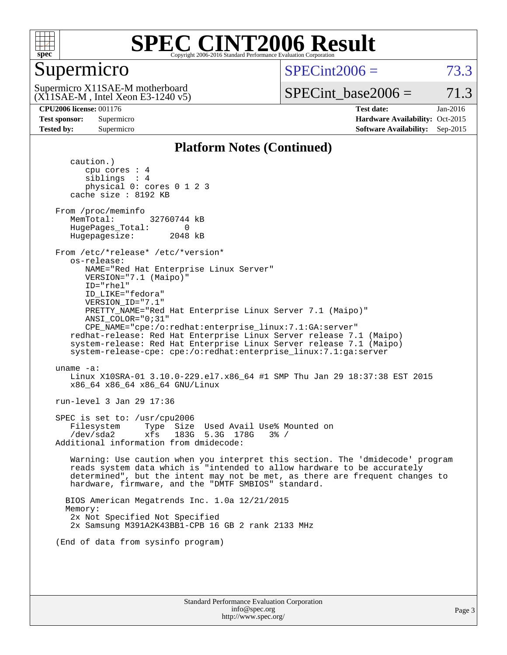

### Supermicro

 $SPECint2006 = 73.3$  $SPECint2006 = 73.3$ 

(X11SAE-M , Intel Xeon E3-1240 v5) Supermicro X11SAE-M motherboard

SPECint base2006 =  $71.3$ 

**[CPU2006 license:](http://www.spec.org/auto/cpu2006/Docs/result-fields.html#CPU2006license)** 001176 **[Test date:](http://www.spec.org/auto/cpu2006/Docs/result-fields.html#Testdate)** Jan-2016 **[Test sponsor:](http://www.spec.org/auto/cpu2006/Docs/result-fields.html#Testsponsor)** Supermicro Supermicro **[Hardware Availability:](http://www.spec.org/auto/cpu2006/Docs/result-fields.html#HardwareAvailability)** Oct-2015 **[Tested by:](http://www.spec.org/auto/cpu2006/Docs/result-fields.html#Testedby)** Supermicro **Supermicro [Software Availability:](http://www.spec.org/auto/cpu2006/Docs/result-fields.html#SoftwareAvailability)** Sep-2015

### **[Platform Notes \(Continued\)](http://www.spec.org/auto/cpu2006/Docs/result-fields.html#PlatformNotes)**

 caution.) cpu cores : 4 siblings : 4 physical 0: cores 0 1 2 3 cache size : 8192 KB From /proc/meminfo MemTotal: 32760744 kB HugePages\_Total: 0<br>Hugepagesize: 2048 kB Hugepagesize: From /etc/\*release\* /etc/\*version\* os-release: NAME="Red Hat Enterprise Linux Server" VERSION="7.1 (Maipo)" ID="rhel" ID\_LIKE="fedora" VERSION\_ID="7.1" PRETTY\_NAME="Red Hat Enterprise Linux Server 7.1 (Maipo)" ANSI\_COLOR="0;31" CPE\_NAME="cpe:/o:redhat:enterprise\_linux:7.1:GA:server" redhat-release: Red Hat Enterprise Linux Server release 7.1 (Maipo) system-release: Red Hat Enterprise Linux Server release 7.1 (Maipo) system-release-cpe: cpe:/o:redhat:enterprise\_linux:7.1:ga:server uname -a: Linux X10SRA-01 3.10.0-229.el7.x86\_64 #1 SMP Thu Jan 29 18:37:38 EST 2015 x86\_64 x86\_64 x86\_64 GNU/Linux run-level 3 Jan 29 17:36 SPEC is set to: /usr/cpu2006 Filesystem Type Size Used Avail Use% Mounted on /dev/sda2 xfs 183G 5.3G 178G 3% / Additional information from dmidecode: Warning: Use caution when you interpret this section. The 'dmidecode' program reads system data which is "intended to allow hardware to be accurately determined", but the intent may not be met, as there are frequent changes to hardware, firmware, and the "DMTF SMBIOS" standard. BIOS American Megatrends Inc. 1.0a 12/21/2015 Memory: 2x Not Specified Not Specified 2x Samsung M391A2K43BB1-CPB 16 GB 2 rank 2133 MHz (End of data from sysinfo program)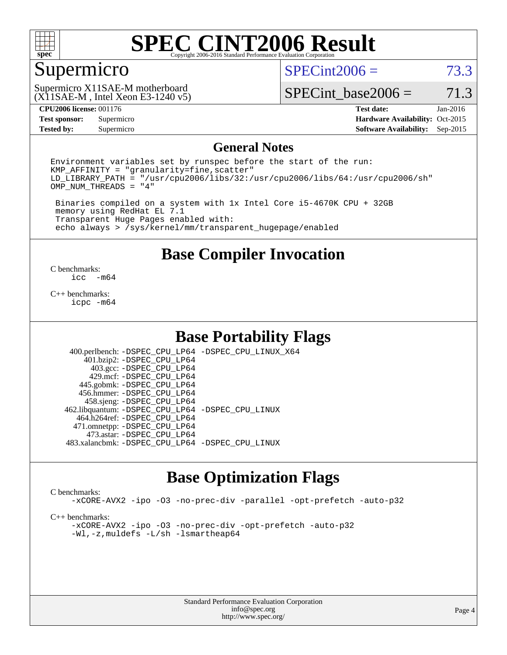

### Supermicro

 $SPECint2006 = 73.3$  $SPECint2006 = 73.3$ 

(X11SAE-M , Intel Xeon E3-1240 v5) Supermicro X11SAE-M motherboard

SPECint base2006 =  $71.3$ 

**[Test sponsor:](http://www.spec.org/auto/cpu2006/Docs/result-fields.html#Testsponsor)** Supermicro Supermicro **[Hardware Availability:](http://www.spec.org/auto/cpu2006/Docs/result-fields.html#HardwareAvailability)** Oct-2015 **[Tested by:](http://www.spec.org/auto/cpu2006/Docs/result-fields.html#Testedby)** Supermicro **Supermicro [Software Availability:](http://www.spec.org/auto/cpu2006/Docs/result-fields.html#SoftwareAvailability)** Sep-2015

**[CPU2006 license:](http://www.spec.org/auto/cpu2006/Docs/result-fields.html#CPU2006license)** 001176 **[Test date:](http://www.spec.org/auto/cpu2006/Docs/result-fields.html#Testdate)** Jan-2016

### **[General Notes](http://www.spec.org/auto/cpu2006/Docs/result-fields.html#GeneralNotes)**

Environment variables set by runspec before the start of the run:  $KMP$  AFFINITY = "granularity=fine, scatter" LD\_LIBRARY\_PATH = "/usr/cpu2006/libs/32:/usr/cpu2006/libs/64:/usr/cpu2006/sh" OMP\_NUM\_THREADS = "4"

 Binaries compiled on a system with 1x Intel Core i5-4670K CPU + 32GB memory using RedHat EL 7.1 Transparent Huge Pages enabled with: echo always > /sys/kernel/mm/transparent\_hugepage/enabled

**[Base Compiler Invocation](http://www.spec.org/auto/cpu2006/Docs/result-fields.html#BaseCompilerInvocation)**

 $\frac{C \text{ benchmarks:}}{C \text{ C}}$ -m64

[C++ benchmarks:](http://www.spec.org/auto/cpu2006/Docs/result-fields.html#CXXbenchmarks) [icpc -m64](http://www.spec.org/cpu2006/results/res2016q1/cpu2006-20160206-38979.flags.html#user_CXXbase_intel_icpc_64bit_fc66a5337ce925472a5c54ad6a0de310)

### **[Base Portability Flags](http://www.spec.org/auto/cpu2006/Docs/result-fields.html#BasePortabilityFlags)**

 400.perlbench: [-DSPEC\\_CPU\\_LP64](http://www.spec.org/cpu2006/results/res2016q1/cpu2006-20160206-38979.flags.html#b400.perlbench_basePORTABILITY_DSPEC_CPU_LP64) [-DSPEC\\_CPU\\_LINUX\\_X64](http://www.spec.org/cpu2006/results/res2016q1/cpu2006-20160206-38979.flags.html#b400.perlbench_baseCPORTABILITY_DSPEC_CPU_LINUX_X64) 401.bzip2: [-DSPEC\\_CPU\\_LP64](http://www.spec.org/cpu2006/results/res2016q1/cpu2006-20160206-38979.flags.html#suite_basePORTABILITY401_bzip2_DSPEC_CPU_LP64) 403.gcc: [-DSPEC\\_CPU\\_LP64](http://www.spec.org/cpu2006/results/res2016q1/cpu2006-20160206-38979.flags.html#suite_basePORTABILITY403_gcc_DSPEC_CPU_LP64) 429.mcf: [-DSPEC\\_CPU\\_LP64](http://www.spec.org/cpu2006/results/res2016q1/cpu2006-20160206-38979.flags.html#suite_basePORTABILITY429_mcf_DSPEC_CPU_LP64) 445.gobmk: [-DSPEC\\_CPU\\_LP64](http://www.spec.org/cpu2006/results/res2016q1/cpu2006-20160206-38979.flags.html#suite_basePORTABILITY445_gobmk_DSPEC_CPU_LP64) 456.hmmer: [-DSPEC\\_CPU\\_LP64](http://www.spec.org/cpu2006/results/res2016q1/cpu2006-20160206-38979.flags.html#suite_basePORTABILITY456_hmmer_DSPEC_CPU_LP64) 458.sjeng: [-DSPEC\\_CPU\\_LP64](http://www.spec.org/cpu2006/results/res2016q1/cpu2006-20160206-38979.flags.html#suite_basePORTABILITY458_sjeng_DSPEC_CPU_LP64) 462.libquantum: [-DSPEC\\_CPU\\_LP64](http://www.spec.org/cpu2006/results/res2016q1/cpu2006-20160206-38979.flags.html#suite_basePORTABILITY462_libquantum_DSPEC_CPU_LP64) [-DSPEC\\_CPU\\_LINUX](http://www.spec.org/cpu2006/results/res2016q1/cpu2006-20160206-38979.flags.html#b462.libquantum_baseCPORTABILITY_DSPEC_CPU_LINUX) 464.h264ref: [-DSPEC\\_CPU\\_LP64](http://www.spec.org/cpu2006/results/res2016q1/cpu2006-20160206-38979.flags.html#suite_basePORTABILITY464_h264ref_DSPEC_CPU_LP64) 471.omnetpp: [-DSPEC\\_CPU\\_LP64](http://www.spec.org/cpu2006/results/res2016q1/cpu2006-20160206-38979.flags.html#suite_basePORTABILITY471_omnetpp_DSPEC_CPU_LP64) 473.astar: [-DSPEC\\_CPU\\_LP64](http://www.spec.org/cpu2006/results/res2016q1/cpu2006-20160206-38979.flags.html#suite_basePORTABILITY473_astar_DSPEC_CPU_LP64) 483.xalancbmk: [-DSPEC\\_CPU\\_LP64](http://www.spec.org/cpu2006/results/res2016q1/cpu2006-20160206-38979.flags.html#suite_basePORTABILITY483_xalancbmk_DSPEC_CPU_LP64) [-DSPEC\\_CPU\\_LINUX](http://www.spec.org/cpu2006/results/res2016q1/cpu2006-20160206-38979.flags.html#b483.xalancbmk_baseCXXPORTABILITY_DSPEC_CPU_LINUX)

### **[Base Optimization Flags](http://www.spec.org/auto/cpu2006/Docs/result-fields.html#BaseOptimizationFlags)**

### [C benchmarks](http://www.spec.org/auto/cpu2006/Docs/result-fields.html#Cbenchmarks):

[-xCORE-AVX2](http://www.spec.org/cpu2006/results/res2016q1/cpu2006-20160206-38979.flags.html#user_CCbase_f-xAVX2_5f5fc0cbe2c9f62c816d3e45806c70d7) [-ipo](http://www.spec.org/cpu2006/results/res2016q1/cpu2006-20160206-38979.flags.html#user_CCbase_f-ipo) [-O3](http://www.spec.org/cpu2006/results/res2016q1/cpu2006-20160206-38979.flags.html#user_CCbase_f-O3) [-no-prec-div](http://www.spec.org/cpu2006/results/res2016q1/cpu2006-20160206-38979.flags.html#user_CCbase_f-no-prec-div) [-parallel](http://www.spec.org/cpu2006/results/res2016q1/cpu2006-20160206-38979.flags.html#user_CCbase_f-parallel) [-opt-prefetch](http://www.spec.org/cpu2006/results/res2016q1/cpu2006-20160206-38979.flags.html#user_CCbase_f-opt-prefetch) [-auto-p32](http://www.spec.org/cpu2006/results/res2016q1/cpu2006-20160206-38979.flags.html#user_CCbase_f-auto-p32)

[C++ benchmarks:](http://www.spec.org/auto/cpu2006/Docs/result-fields.html#CXXbenchmarks)

[-xCORE-AVX2](http://www.spec.org/cpu2006/results/res2016q1/cpu2006-20160206-38979.flags.html#user_CXXbase_f-xAVX2_5f5fc0cbe2c9f62c816d3e45806c70d7) [-ipo](http://www.spec.org/cpu2006/results/res2016q1/cpu2006-20160206-38979.flags.html#user_CXXbase_f-ipo) [-O3](http://www.spec.org/cpu2006/results/res2016q1/cpu2006-20160206-38979.flags.html#user_CXXbase_f-O3) [-no-prec-div](http://www.spec.org/cpu2006/results/res2016q1/cpu2006-20160206-38979.flags.html#user_CXXbase_f-no-prec-div) [-opt-prefetch](http://www.spec.org/cpu2006/results/res2016q1/cpu2006-20160206-38979.flags.html#user_CXXbase_f-opt-prefetch) [-auto-p32](http://www.spec.org/cpu2006/results/res2016q1/cpu2006-20160206-38979.flags.html#user_CXXbase_f-auto-p32) [-Wl,-z,muldefs](http://www.spec.org/cpu2006/results/res2016q1/cpu2006-20160206-38979.flags.html#user_CXXbase_link_force_multiple1_74079c344b956b9658436fd1b6dd3a8a) [-L/sh -lsmartheap64](http://www.spec.org/cpu2006/results/res2016q1/cpu2006-20160206-38979.flags.html#user_CXXbase_SmartHeap64_ed4ef857ce90951921efb0d91eb88472)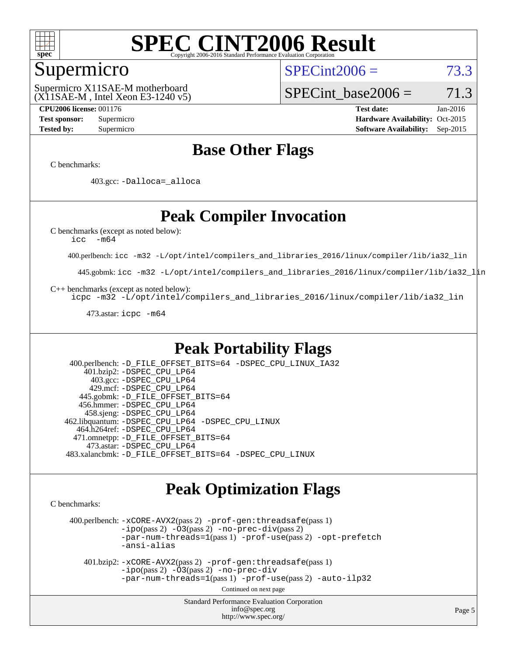

### Supermicro

 $SPECint2006 = 73.3$  $SPECint2006 = 73.3$ 

(X11SAE-M , Intel Xeon E3-1240 v5) Supermicro X11SAE-M motherboard

SPECint base2006 =  $71.3$ 

**[CPU2006 license:](http://www.spec.org/auto/cpu2006/Docs/result-fields.html#CPU2006license)** 001176 **[Test date:](http://www.spec.org/auto/cpu2006/Docs/result-fields.html#Testdate)** Jan-2016 **[Test sponsor:](http://www.spec.org/auto/cpu2006/Docs/result-fields.html#Testsponsor)** Supermicro Supermicro **[Hardware Availability:](http://www.spec.org/auto/cpu2006/Docs/result-fields.html#HardwareAvailability)** Oct-2015 **[Tested by:](http://www.spec.org/auto/cpu2006/Docs/result-fields.html#Testedby)** Supermicro **Supermicro [Software Availability:](http://www.spec.org/auto/cpu2006/Docs/result-fields.html#SoftwareAvailability)** Sep-2015

### **[Base Other Flags](http://www.spec.org/auto/cpu2006/Docs/result-fields.html#BaseOtherFlags)**

[C benchmarks](http://www.spec.org/auto/cpu2006/Docs/result-fields.html#Cbenchmarks):

403.gcc: [-Dalloca=\\_alloca](http://www.spec.org/cpu2006/results/res2016q1/cpu2006-20160206-38979.flags.html#b403.gcc_baseEXTRA_CFLAGS_Dalloca_be3056838c12de2578596ca5467af7f3)

### **[Peak Compiler Invocation](http://www.spec.org/auto/cpu2006/Docs/result-fields.html#PeakCompilerInvocation)**

[C benchmarks \(except as noted below\)](http://www.spec.org/auto/cpu2006/Docs/result-fields.html#Cbenchmarksexceptasnotedbelow):

[icc -m64](http://www.spec.org/cpu2006/results/res2016q1/cpu2006-20160206-38979.flags.html#user_CCpeak_intel_icc_64bit_f346026e86af2a669e726fe758c88044)

400.perlbench: [icc -m32 -L/opt/intel/compilers\\_and\\_libraries\\_2016/linux/compiler/lib/ia32\\_lin](http://www.spec.org/cpu2006/results/res2016q1/cpu2006-20160206-38979.flags.html#user_peakCCLD400_perlbench_intel_icc_e10256ba5924b668798078a321b0cb3f)

445.gobmk: [icc -m32 -L/opt/intel/compilers\\_and\\_libraries\\_2016/linux/compiler/lib/ia32\\_lin](http://www.spec.org/cpu2006/results/res2016q1/cpu2006-20160206-38979.flags.html#user_peakCCLD445_gobmk_intel_icc_e10256ba5924b668798078a321b0cb3f)

[C++ benchmarks \(except as noted below\):](http://www.spec.org/auto/cpu2006/Docs/result-fields.html#CXXbenchmarksexceptasnotedbelow)

[icpc -m32 -L/opt/intel/compilers\\_and\\_libraries\\_2016/linux/compiler/lib/ia32\\_lin](http://www.spec.org/cpu2006/results/res2016q1/cpu2006-20160206-38979.flags.html#user_CXXpeak_intel_icpc_b4f50a394bdb4597aa5879c16bc3f5c5)

473.astar: [icpc -m64](http://www.spec.org/cpu2006/results/res2016q1/cpu2006-20160206-38979.flags.html#user_peakCXXLD473_astar_intel_icpc_64bit_fc66a5337ce925472a5c54ad6a0de310)

### **[Peak Portability Flags](http://www.spec.org/auto/cpu2006/Docs/result-fields.html#PeakPortabilityFlags)**

 400.perlbench: [-D\\_FILE\\_OFFSET\\_BITS=64](http://www.spec.org/cpu2006/results/res2016q1/cpu2006-20160206-38979.flags.html#user_peakPORTABILITY400_perlbench_file_offset_bits_64_438cf9856305ebd76870a2c6dc2689ab) [-DSPEC\\_CPU\\_LINUX\\_IA32](http://www.spec.org/cpu2006/results/res2016q1/cpu2006-20160206-38979.flags.html#b400.perlbench_peakCPORTABILITY_DSPEC_CPU_LINUX_IA32) 401.bzip2: [-DSPEC\\_CPU\\_LP64](http://www.spec.org/cpu2006/results/res2016q1/cpu2006-20160206-38979.flags.html#suite_peakPORTABILITY401_bzip2_DSPEC_CPU_LP64) 403.gcc: [-DSPEC\\_CPU\\_LP64](http://www.spec.org/cpu2006/results/res2016q1/cpu2006-20160206-38979.flags.html#suite_peakPORTABILITY403_gcc_DSPEC_CPU_LP64) 429.mcf: [-DSPEC\\_CPU\\_LP64](http://www.spec.org/cpu2006/results/res2016q1/cpu2006-20160206-38979.flags.html#suite_peakPORTABILITY429_mcf_DSPEC_CPU_LP64) 445.gobmk: [-D\\_FILE\\_OFFSET\\_BITS=64](http://www.spec.org/cpu2006/results/res2016q1/cpu2006-20160206-38979.flags.html#user_peakPORTABILITY445_gobmk_file_offset_bits_64_438cf9856305ebd76870a2c6dc2689ab) 456.hmmer: [-DSPEC\\_CPU\\_LP64](http://www.spec.org/cpu2006/results/res2016q1/cpu2006-20160206-38979.flags.html#suite_peakPORTABILITY456_hmmer_DSPEC_CPU_LP64) 458.sjeng: [-DSPEC\\_CPU\\_LP64](http://www.spec.org/cpu2006/results/res2016q1/cpu2006-20160206-38979.flags.html#suite_peakPORTABILITY458_sjeng_DSPEC_CPU_LP64) 462.libquantum: [-DSPEC\\_CPU\\_LP64](http://www.spec.org/cpu2006/results/res2016q1/cpu2006-20160206-38979.flags.html#suite_peakPORTABILITY462_libquantum_DSPEC_CPU_LP64) [-DSPEC\\_CPU\\_LINUX](http://www.spec.org/cpu2006/results/res2016q1/cpu2006-20160206-38979.flags.html#b462.libquantum_peakCPORTABILITY_DSPEC_CPU_LINUX) 464.h264ref: [-DSPEC\\_CPU\\_LP64](http://www.spec.org/cpu2006/results/res2016q1/cpu2006-20160206-38979.flags.html#suite_peakPORTABILITY464_h264ref_DSPEC_CPU_LP64) 471.omnetpp: [-D\\_FILE\\_OFFSET\\_BITS=64](http://www.spec.org/cpu2006/results/res2016q1/cpu2006-20160206-38979.flags.html#user_peakPORTABILITY471_omnetpp_file_offset_bits_64_438cf9856305ebd76870a2c6dc2689ab) 473.astar: [-DSPEC\\_CPU\\_LP64](http://www.spec.org/cpu2006/results/res2016q1/cpu2006-20160206-38979.flags.html#suite_peakPORTABILITY473_astar_DSPEC_CPU_LP64) 483.xalancbmk: [-D\\_FILE\\_OFFSET\\_BITS=64](http://www.spec.org/cpu2006/results/res2016q1/cpu2006-20160206-38979.flags.html#user_peakPORTABILITY483_xalancbmk_file_offset_bits_64_438cf9856305ebd76870a2c6dc2689ab) [-DSPEC\\_CPU\\_LINUX](http://www.spec.org/cpu2006/results/res2016q1/cpu2006-20160206-38979.flags.html#b483.xalancbmk_peakCXXPORTABILITY_DSPEC_CPU_LINUX)

### **[Peak Optimization Flags](http://www.spec.org/auto/cpu2006/Docs/result-fields.html#PeakOptimizationFlags)**

[C benchmarks](http://www.spec.org/auto/cpu2006/Docs/result-fields.html#Cbenchmarks):

 400.perlbench: [-xCORE-AVX2](http://www.spec.org/cpu2006/results/res2016q1/cpu2006-20160206-38979.flags.html#user_peakPASS2_CFLAGSPASS2_LDCFLAGS400_perlbench_f-xAVX2_5f5fc0cbe2c9f62c816d3e45806c70d7)(pass 2) [-prof-gen:threadsafe](http://www.spec.org/cpu2006/results/res2016q1/cpu2006-20160206-38979.flags.html#user_peakPASS1_CFLAGSPASS1_LDCFLAGS400_perlbench_prof_gen_21a26eb79f378b550acd7bec9fe4467a)(pass 1)  $-i\text{po}(pass 2) -\tilde{O}3(pass 2)$  [-no-prec-div](http://www.spec.org/cpu2006/results/res2016q1/cpu2006-20160206-38979.flags.html#user_peakPASS2_CFLAGSPASS2_LDCFLAGS400_perlbench_f-no-prec-div)(pass 2) [-par-num-threads=1](http://www.spec.org/cpu2006/results/res2016q1/cpu2006-20160206-38979.flags.html#user_peakPASS1_CFLAGSPASS1_LDCFLAGS400_perlbench_par_num_threads_786a6ff141b4e9e90432e998842df6c2)(pass 1) [-prof-use](http://www.spec.org/cpu2006/results/res2016q1/cpu2006-20160206-38979.flags.html#user_peakPASS2_CFLAGSPASS2_LDCFLAGS400_perlbench_prof_use_bccf7792157ff70d64e32fe3e1250b55)(pass 2) [-opt-prefetch](http://www.spec.org/cpu2006/results/res2016q1/cpu2006-20160206-38979.flags.html#user_peakCOPTIMIZE400_perlbench_f-opt-prefetch) [-ansi-alias](http://www.spec.org/cpu2006/results/res2016q1/cpu2006-20160206-38979.flags.html#user_peakCOPTIMIZE400_perlbench_f-ansi-alias)

 401.bzip2: [-xCORE-AVX2](http://www.spec.org/cpu2006/results/res2016q1/cpu2006-20160206-38979.flags.html#user_peakPASS2_CFLAGSPASS2_LDCFLAGS401_bzip2_f-xAVX2_5f5fc0cbe2c9f62c816d3e45806c70d7)(pass 2) [-prof-gen:threadsafe](http://www.spec.org/cpu2006/results/res2016q1/cpu2006-20160206-38979.flags.html#user_peakPASS1_CFLAGSPASS1_LDCFLAGS401_bzip2_prof_gen_21a26eb79f378b550acd7bec9fe4467a)(pass 1)  $-i\text{po}(pass 2) -\overline{O}3(pass 2)$  [-no-prec-div](http://www.spec.org/cpu2006/results/res2016q1/cpu2006-20160206-38979.flags.html#user_peakCOPTIMIZEPASS2_CFLAGSPASS2_LDCFLAGS401_bzip2_f-no-prec-div) [-par-num-threads=1](http://www.spec.org/cpu2006/results/res2016q1/cpu2006-20160206-38979.flags.html#user_peakPASS1_CFLAGSPASS1_LDCFLAGS401_bzip2_par_num_threads_786a6ff141b4e9e90432e998842df6c2)(pass 1) [-prof-use](http://www.spec.org/cpu2006/results/res2016q1/cpu2006-20160206-38979.flags.html#user_peakPASS2_CFLAGSPASS2_LDCFLAGS401_bzip2_prof_use_bccf7792157ff70d64e32fe3e1250b55)(pass 2) [-auto-ilp32](http://www.spec.org/cpu2006/results/res2016q1/cpu2006-20160206-38979.flags.html#user_peakCOPTIMIZE401_bzip2_f-auto-ilp32)

Continued on next page

Standard Performance Evaluation Corporation [info@spec.org](mailto:info@spec.org) <http://www.spec.org/>

Page 5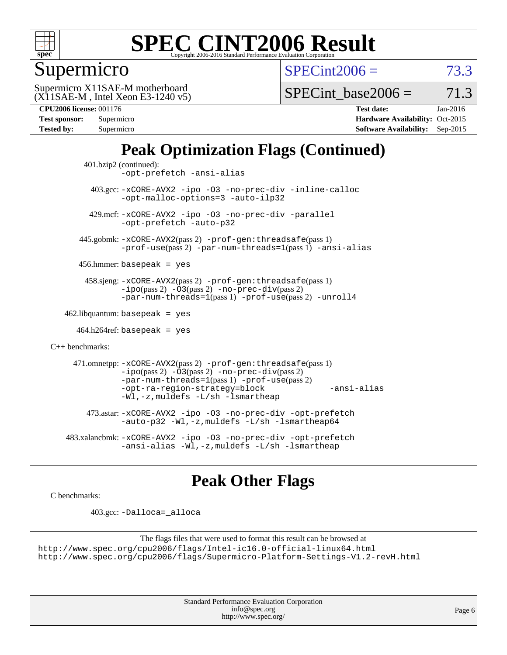

Supermicro

 $SPECint2006 = 73.3$  $SPECint2006 = 73.3$ 

(X11SAE-M , Intel Xeon E3-1240 v5) Supermicro X11SAE-M motherboard

SPECint base2006 =  $71.3$ 

| Test sponsor:     | Supermicro |
|-------------------|------------|
| <b>Tested by:</b> | Supermicro |

**[CPU2006 license:](http://www.spec.org/auto/cpu2006/Docs/result-fields.html#CPU2006license)** 001176 **[Test date:](http://www.spec.org/auto/cpu2006/Docs/result-fields.html#Testdate)** Jan-2016 **[Hardware Availability:](http://www.spec.org/auto/cpu2006/Docs/result-fields.html#HardwareAvailability)** Oct-2015 **[Software Availability:](http://www.spec.org/auto/cpu2006/Docs/result-fields.html#SoftwareAvailability)** Sep-2015

## **[Peak Optimization Flags \(Continued\)](http://www.spec.org/auto/cpu2006/Docs/result-fields.html#PeakOptimizationFlags)**

```
 401.bzip2 (continued):
                -opt-prefetch -ansi-alias
          403.gcc: -xCORE-AVX2 -ipo -O3 -no-prec-div -inline-calloc
                -opt-malloc-options=3 -auto-ilp32
         429.mcf: -xCORE-AVX2 -ipo -O3 -no-prec-div -parallel
                -opt-prefetch -auto-p32
       445.gobmk: -xCORE-AVX2(pass 2) -prof-gen:threadsafe(pass 1)
                -prof-use(pass 2) -par-num-threads=1(pass 1) -ansi-alias
       456.hmmer: basepeak = yes
        458.sjeng: -xCORE-AVX2(pass 2) -prof-gen:threadsafe(pass 1)
                -i\text{po}(pass 2) -\tilde{O}3(pass 2)-no-prec-div(pass 2)
                -par-num-threads=1(pass 1) -prof-use(pass 2) -unroll4
   462.libquantum: basepeak = yes
     464.h264ref: basepeak = yes
C++ benchmarks: 
      471.omnetpp: -xCORE-AVX2(pass 2) -prof-gen:threadsafe(pass 1)
                -i\text{po}(pass 2) -\overline{O}3(pass 2) -no-\overline{prec}\-div(pass 2)-par-num-threads=1(pass 1) -prof-use(pass 2)
                -opt-ra-region-strategy=block -ansi-alias
                -Wl,-z,muldefs -L/sh -lsmartheap
         473.astar: -xCORE-AVX2 -ipo -O3 -no-prec-div -opt-prefetch
                -auto-p32 -Wl,-z,muldefs -L/sh -lsmartheap64
    483.xalancbmk: -xCORE-AVX2 -ipo -O3 -no-prec-div -opt-prefetch
                -ansi-alias -Wl,-z,muldefs -L/sh -lsmartheap
```
### **[Peak Other Flags](http://www.spec.org/auto/cpu2006/Docs/result-fields.html#PeakOtherFlags)**

[C benchmarks](http://www.spec.org/auto/cpu2006/Docs/result-fields.html#Cbenchmarks):

403.gcc: [-Dalloca=\\_alloca](http://www.spec.org/cpu2006/results/res2016q1/cpu2006-20160206-38979.flags.html#b403.gcc_peakEXTRA_CFLAGS_Dalloca_be3056838c12de2578596ca5467af7f3)

```
The flags files that were used to format this result can be browsed at
http://www.spec.org/cpu2006/flags/Intel-ic16.0-official-linux64.html
http://www.spec.org/cpu2006/flags/Supermicro-Platform-Settings-V1.2-revH.html
```